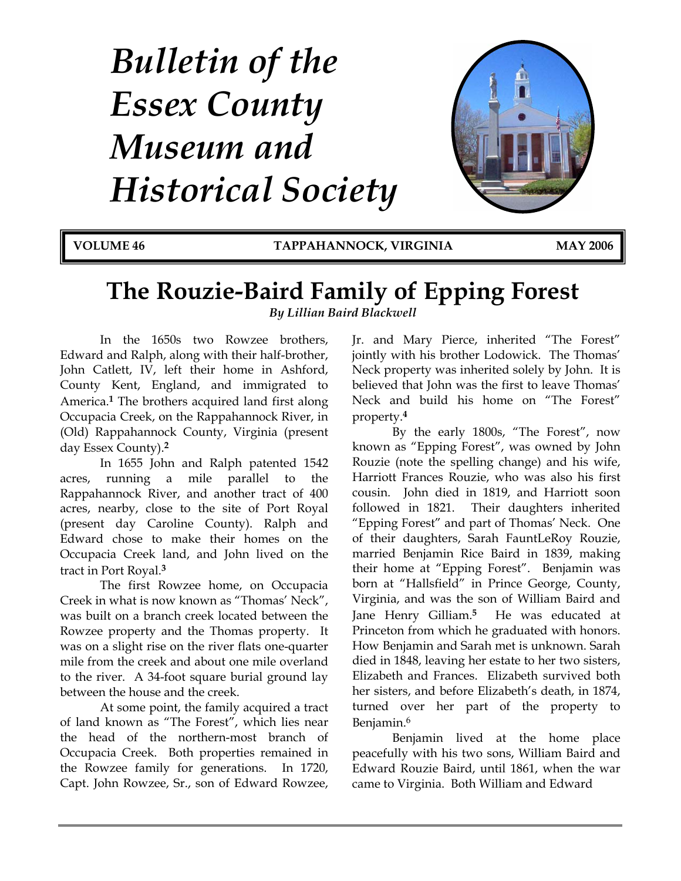# *Bulletin of the Essex County Museum and Historical Society*



**VOLUME 46 TAPPAHANNOCK, VIRGINIA MAY 2006**

## **The Rouzie-Baird Family of Epping Forest**

*By Lillian Baird Blackwell* 

 In the 1650s two Rowzee brothers, Edward and Ralph, along with their half-brother, John Catlett, IV, left their home in Ashford, County Kent, England, and immigrated to America.**1** The brothers acquired land first along Occupacia Creek, on the Rappahannock River, in (Old) Rappahannock County, Virginia (present day Essex County).**<sup>2</sup>**

 In 1655 John and Ralph patented 1542 acres, running a mile parallel to the Rappahannock River, and another tract of 400 acres, nearby, close to the site of Port Royal (present day Caroline County). Ralph and Edward chose to make their homes on the Occupacia Creek land, and John lived on the tract in Port Royal.**<sup>3</sup>**

The first Rowzee home, on Occupacia Creek in what is now known as "Thomas' Neck", was built on a branch creek located between the Rowzee property and the Thomas property. It was on a slight rise on the river flats one-quarter mile from the creek and about one mile overland to the river. A 34-foot square burial ground lay between the house and the creek.

 At some point, the family acquired a tract of land known as "The Forest", which lies near the head of the northern-most branch of Occupacia Creek. Both properties remained in the Rowzee family for generations. In 1720, Capt. John Rowzee, Sr., son of Edward Rowzee, Jr. and Mary Pierce, inherited "The Forest" jointly with his brother Lodowick. The Thomas' Neck property was inherited solely by John. It is believed that John was the first to leave Thomas' Neck and build his home on "The Forest" property.**<sup>4</sup>**

 By the early 1800s, "The Forest", now known as "Epping Forest", was owned by John Rouzie (note the spelling change) and his wife, Harriott Frances Rouzie, who was also his first cousin. John died in 1819, and Harriott soon followed in 1821. Their daughters inherited "Epping Forest" and part of Thomas' Neck. One of their daughters, Sarah FauntLeRoy Rouzie, married Benjamin Rice Baird in 1839, making their home at "Epping Forest". Benjamin was born at "Hallsfield" in Prince George, County, Virginia, and was the son of William Baird and Jane Henry Gilliam.**5** He was educated at Princeton from which he graduated with honors. How Benjamin and Sarah met is unknown. Sarah died in 1848, leaving her estate to her two sisters, Elizabeth and Frances. Elizabeth survived both her sisters, and before Elizabeth's death, in 1874, turned over her part of the property to Benjamin.6

 Benjamin lived at the home place peacefully with his two sons, William Baird and Edward Rouzie Baird, until 1861, when the war came to Virginia. Both William and Edward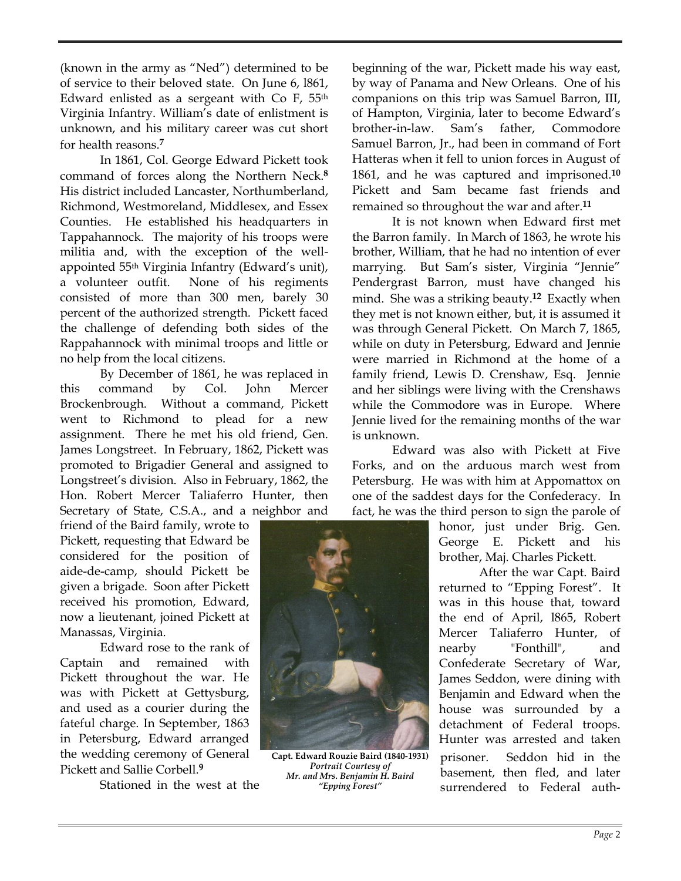(known in the army as "Ned") determined to be of service to their beloved state. On June 6, l861, Edward enlisted as a sergeant with Co F, 55th Virginia Infantry. William's date of enlistment is unknown, and his military career was cut short for health reasons.**<sup>7</sup>**

 In 1861, Col. George Edward Pickett took command of forces along the Northern Neck.**<sup>8</sup>** His district included Lancaster, Northumberland, Richmond, Westmoreland, Middlesex, and Essex Counties. He established his headquarters in Tappahannock. The majority of his troops were militia and, with the exception of the wellappointed 55th Virginia Infantry (Edward's unit), a volunteer outfit. None of his regiments consisted of more than 300 men, barely 30 percent of the authorized strength. Pickett faced the challenge of defending both sides of the Rappahannock with minimal troops and little or no help from the local citizens.

 By December of 1861, he was replaced in this command by Col. John Mercer Brockenbrough. Without a command, Pickett went to Richmond to plead for a new assignment. There he met his old friend, Gen. James Longstreet. In February, 1862, Pickett was promoted to Brigadier General and assigned to Longstreet's division. Also in February, 1862, the Hon. Robert Mercer Taliaferro Hunter, then Secretary of State, C.S.A., and a neighbor and

friend of the Baird family, wrote to Pickett, requesting that Edward be considered for the position of aide-de-camp, should Pickett be given a brigade. Soon after Pickett received his promotion, Edward, now a lieutenant, joined Pickett at Manassas, Virginia.

 Edward rose to the rank of Captain and remained with Pickett throughout the war. He was with Pickett at Gettysburg, and used as a courier during the fateful charge. In September, 1863 in Petersburg, Edward arranged the wedding ceremony of General Pickett and Sallie Corbell.**<sup>9</sup>**

Stationed in the west at the

beginning of the war, Pickett made his way east, by way of Panama and New Orleans. One of his companions on this trip was Samuel Barron, III, of Hampton, Virginia, later to become Edward's brother-in-law. Sam's father, Commodore Samuel Barron, Jr., had been in command of Fort Hatteras when it fell to union forces in August of 1861, and he was captured and imprisoned.**<sup>10</sup>** Pickett and Sam became fast friends and remained so throughout the war and after.**<sup>11</sup>**

 It is not known when Edward first met the Barron family. In March of 1863, he wrote his brother, William, that he had no intention of ever marrying. But Sam's sister, Virginia "Jennie" Pendergrast Barron, must have changed his mind. She was a striking beauty.**12** Exactly when they met is not known either, but, it is assumed it was through General Pickett. On March 7, 1865, while on duty in Petersburg, Edward and Jennie were married in Richmond at the home of a family friend, Lewis D. Crenshaw, Esq. Jennie and her siblings were living with the Crenshaws while the Commodore was in Europe. Where Jennie lived for the remaining months of the war is unknown.

 Edward was also with Pickett at Five Forks, and on the arduous march west from Petersburg. He was with him at Appomattox on one of the saddest days for the Confederacy. In fact, he was the third person to sign the parole of

> honor, just under Brig. Gen. George E. Pickett and his brother, Maj. Charles Pickett.

> After the war Capt. Baird returned to "Epping Forest". It was in this house that, toward the end of April, l865, Robert Mercer Taliaferro Hunter, of nearby "Fonthill", and Confederate Secretary of War, James Seddon, were dining with Benjamin and Edward when the house was surrounded by a detachment of Federal troops. Hunter was arrested and taken prisoner. Seddon hid in the basement, then fled, and later surrendered to Federal auth-

*Page* 2



**Capt. Edward Rouzie Baird (1840‐1931)** *Portrait Courtesy of Mr. and Mrs. Benjamin H. Baird "Epping Forest"*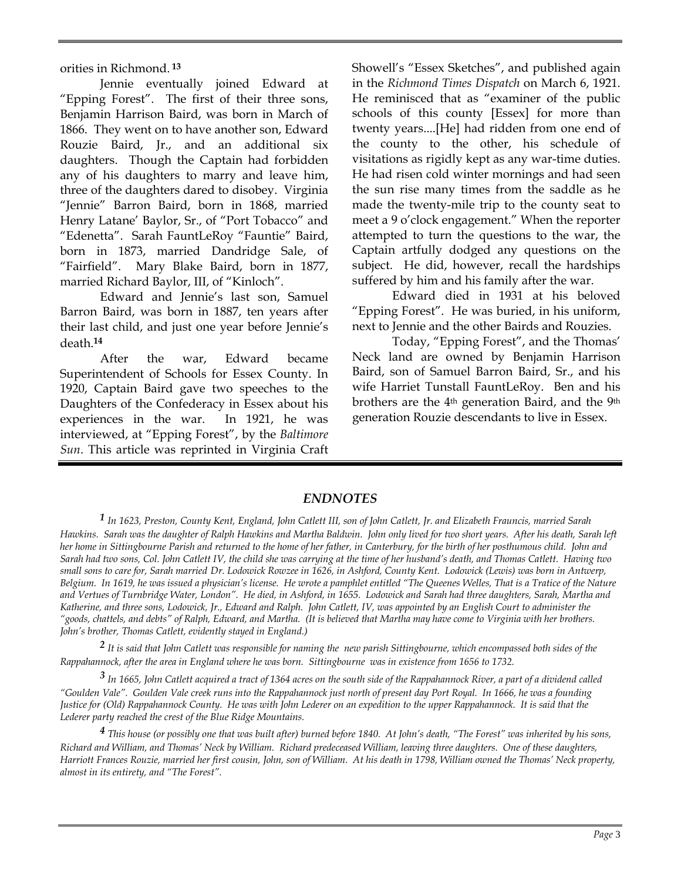orities in Richmond.**<sup>13</sup>**

 Jennie eventually joined Edward at "Epping Forest". The first of their three sons, Benjamin Harrison Baird, was born in March of 1866. They went on to have another son, Edward Rouzie Baird, Jr., and an additional six daughters. Though the Captain had forbidden any of his daughters to marry and leave him, three of the daughters dared to disobey. Virginia "Jennie" Barron Baird, born in 1868, married Henry Latane' Baylor, Sr., of "Port Tobacco" and "Edenetta". Sarah FauntLeRoy "Fauntie" Baird, born in 1873, married Dandridge Sale, of "Fairfield". Mary Blake Baird, born in 1877, married Richard Baylor, III, of "Kinloch".

 Edward and Jennie's last son, Samuel Barron Baird, was born in 1887, ten years after their last child, and just one year before Jennie's death.**<sup>14</sup>**

 After the war, Edward became Superintendent of Schools for Essex County. In 1920, Captain Baird gave two speeches to the Daughters of the Confederacy in Essex about his experiences in the war. In 1921, he was interviewed, at "Epping Forest", by the *Baltimore Sun*. This article was reprinted in Virginia Craft Showell's "Essex Sketches", and published again in the *Richmond Times Dispatch* on March 6, 1921. He reminisced that as "examiner of the public schools of this county [Essex] for more than twenty years....[He] had ridden from one end of the county to the other, his schedule of visitations as rigidly kept as any war-time duties. He had risen cold winter mornings and had seen the sun rise many times from the saddle as he made the twenty-mile trip to the county seat to meet a 9 o'clock engagement." When the reporter attempted to turn the questions to the war, the Captain artfully dodged any questions on the subject. He did, however, recall the hardships suffered by him and his family after the war.

 Edward died in 1931 at his beloved "Epping Forest". He was buried, in his uniform, next to Jennie and the other Bairds and Rouzies.

 Today, "Epping Forest", and the Thomas' Neck land are owned by Benjamin Harrison Baird, son of Samuel Barron Baird, Sr., and his wife Harriet Tunstall FauntLeRoy. Ben and his brothers are the 4th generation Baird, and the 9th generation Rouzie descendants to live in Essex.

#### *ENDNOTES*

*1 In 1623, Preston, County Kent, England, John Catlett III, son of John Catlett, Jr. and Elizabeth Frauncis, married Sarah Hawkins. Sarah was the daughter of Ralph Hawkins and Martha Baldwin. John only lived for two short years. After his death, Sarah left her home in Sittingbourne Parish and returned to the home of her father, in Canterbury, for the birth of her posthumous child. John and Sarah had two sons, Col. John Catlett IV, the child she was carrying at the time of her husband's death, and Thomas Catlett. Having two small sons to care for, Sarah married Dr. Lodowick Rowzee in 1626, in Ashford, County Kent. Lodowick (Lewis) was born in Antwerp, Belgium. In 1619, he was issued a physician's license. He wrote a pamphlet entitled "The Queenes Welles, That is a Tratice of the Nature and Vertues of Turnbridge Water, London". He died, in Ashford, in 1655. Lodowick and Sarah had three daughters, Sarah, Martha and Katherine, and three sons, Lodowick, Jr., Edward and Ralph. John Catlett, IV, was appointed by an English Court to administer the "goods, chattels, and debts" of Ralph, Edward, and Martha. (It is believed that Martha may have come to Virginia with her brothers. John's brother, Thomas Catlett, evidently stayed in England.)* 

*2 It is said that John Catlett was responsible for naming the new parish Sittingbourne, which encompassed both sides of the Rappahannock, after the area in England where he was born. Sittingbourne was in existence from 1656 to 1732.* 

*3 In 1665, John Catlett acquired a tract of 1364 acres on the south side of the Rappahannock River, a part of a dividend called "Goulden Vale". Goulden Vale creek runs into the Rappahannock just north of present day Port Royal. In 1666, he was a founding Justice for (Old) Rappahannock County. He was with John Lederer on an expedition to the upper Rappahannock. It is said that the Lederer party reached the crest of the Blue Ridge Mountains.* 

*4 This house (or possibly one that was built after) burned before 1840. At John's death, "The Forest" was inherited by his sons, Richard and William, and Thomas' Neck by William. Richard predeceased William, leaving three daughters. One of these daughters, Harriott Frances Rouzie, married her first cousin, John, son of William. At his death in 1798, William owned the Thomas' Neck property, almost in its entirety, and "The Forest".*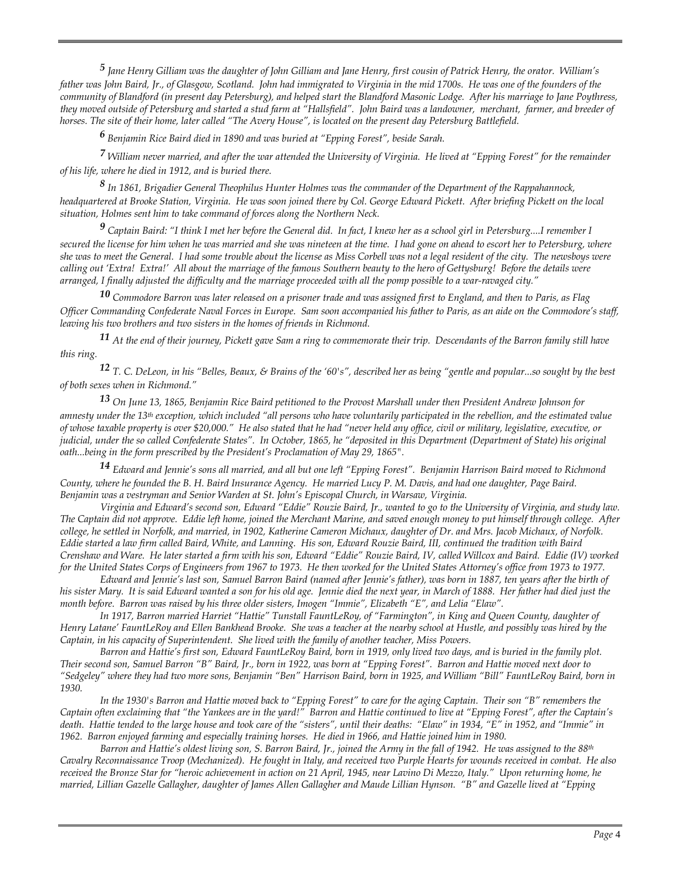*5 Jane Henry Gilliam was the daughter of John Gilliam and Jane Henry, first cousin of Patrick Henry, the orator. William's*  father was John Baird, Jr., of Glasgow, Scotland. John had immigrated to Virginia in the mid 1700s. He was one of the founders of the *community of Blandford (in present day Petersburg), and helped start the Blandford Masonic Lodge. After his marriage to Jane Poythress, they moved outside of Petersburg and started a stud farm at "Hallsfield". John Baird was a landowner, merchant, farmer, and breeder of horses. The site of their home, later called "The Avery House", is located on the present day Petersburg Battlefield.* 

*6 Benjamin Rice Baird died in 1890 and was buried at "Epping Forest", beside Sarah.* 

*7 William never married, and after the war attended the University of Virginia. He lived at "Epping Forest" for the remainder of his life, where he died in 1912, and is buried there.* 

*8 In 1861, Brigadier General Theophilus Hunter Holmes was the commander of the Department of the Rappahannock, headquartered at Brooke Station, Virginia. He was soon joined there by Col. George Edward Pickett. After briefing Pickett on the local situation, Holmes sent him to take command of forces along the Northern Neck.* 

*9 Captain Baird: "I think I met her before the General did. In fact, I knew her as a school girl in Petersburg....I remember I secured the license for him when he was married and she was nineteen at the time. I had gone on ahead to escort her to Petersburg, where she was to meet the General. I had some trouble about the license as Miss Corbell was not a legal resident of the city. The newsboys were calling out 'Extra! Extra!' All about the marriage of the famous Southern beauty to the hero of Gettysburg! Before the details were arranged, I finally adjusted the difficulty and the marriage proceeded with all the pomp possible to a war-ravaged city."* 

*10 Commodore Barron was later released on a prisoner trade and was assigned first to England, and then to Paris, as Flag Officer Commanding Confederate Naval Forces in Europe. Sam soon accompanied his father to Paris, as an aide on the Commodore's staff, leaving his two brothers and two sisters in the homes of friends in Richmond.* 

*11 At the end of their journey, Pickett gave Sam a ring to commemorate their trip. Descendants of the Barron family still have this ring.* 

*12 T. C. DeLeon, in his "Belles, Beaux, & Brains of the '60's", described her as being "gentle and popular...so sought by the best of both sexes when in Richmond."* 

*13 On June 13, 1865, Benjamin Rice Baird petitioned to the Provost Marshall under then President Andrew Johnson for amnesty under the 13th exception, which included "all persons who have voluntarily participated in the rebellion, and the estimated value of whose taxable property is over \$20,000." He also stated that he had "never held any office, civil or military, legislative, executive, or judicial, under the so called Confederate States". In October, 1865, he "deposited in this Department (Department of State) his original oath...being in the form prescribed by the President's Proclamation of May 29, 1865".* 

*14 Edward and Jennie's sons all married, and all but one left "Epping Forest". Benjamin Harrison Baird moved to Richmond County, where he founded the B. H. Baird Insurance Agency. He married Lucy P. M. Davis, and had one daughter, Page Baird. Benjamin was a vestryman and Senior Warden at St. John's Episcopal Church, in Warsaw, Virginia.* 

 *Virginia and Edward's second son, Edward "Eddie" Rouzie Baird, Jr., wanted to go to the University of Virginia, and study law. The Captain did not approve. Eddie left home, joined the Merchant Marine, and saved enough money to put himself through college. After college, he settled in Norfolk, and married, in 1902, Katherine Cameron Michaux, daughter of Dr. and Mrs. Jacob Michaux, of Norfolk. Eddie started a law firm called Baird, White, and Lanning. His son, Edward Rouzie Baird, III, continued the tradition with Baird Crenshaw and Ware. He later started a firm with his son, Edward "Eddie" Rouzie Baird, IV, called Willcox and Baird. Eddie (IV) worked for the United States Corps of Engineers from 1967 to 1973. He then worked for the United States Attorney's office from 1973 to 1977.* 

 *Edward and Jennie's last son, Samuel Barron Baird (named after Jennie's father), was born in 1887, ten years after the birth of his sister Mary. It is said Edward wanted a son for his old age. Jennie died the next year, in March of 1888. Her father had died just the month before. Barron was raised by his three older sisters, Imogen "Immie", Elizabeth "E", and Lelia "Elaw".* 

 *In 1917, Barron married Harriet "Hattie" Tunstall FauntLeRoy, of "Farmington", in King and Queen County, daughter of Henry Latane' FauntLeRoy and Ellen Bankhead Brooke. She was a teacher at the nearby school at Hustle, and possibly was hired by the Captain, in his capacity of Superintendent. She lived with the family of another teacher, Miss Powers.* 

 *Barron and Hattie's first son, Edward FauntLeRoy Baird, born in 1919, only lived two days, and is buried in the family plot. Their second son, Samuel Barron "B" Baird, Jr., born in 1922, was born at "Epping Forest". Barron and Hattie moved next door to "Sedgeley" where they had two more sons, Benjamin "Ben" Harrison Baird, born in 1925, and William "Bill" FauntLeRoy Baird, born in 1930.* 

 *In the 1930's Barron and Hattie moved back to "Epping Forest" to care for the aging Captain. Their son "B" remembers the Captain often exclaiming that "the Yankees are in the yard!" Barron and Hattie continued to live at "Epping Forest", after the Captain's death. Hattie tended to the large house and took care of the "sisters", until their deaths: "Elaw" in 1934, "E" in 1952, and "Immie" in 1962. Barron enjoyed farming and especially training horses. He died in 1966, and Hattie joined him in 1980.* 

 *Barron and Hattie's oldest living son, S. Barron Baird, Jr., joined the Army in the fall of 1942. He was assigned to the 88th Cavalry Reconnaissance Troop (Mechanized). He fought in Italy, and received two Purple Hearts for wounds received in combat. He also received the Bronze Star for "heroic achievement in action on 21 April, 1945, near Lavino Di Mezzo, Italy." Upon returning home, he married, Lillian Gazelle Gallagher, daughter of James Allen Gallagher and Maude Lillian Hynson. "B" and Gazelle lived at "Epping*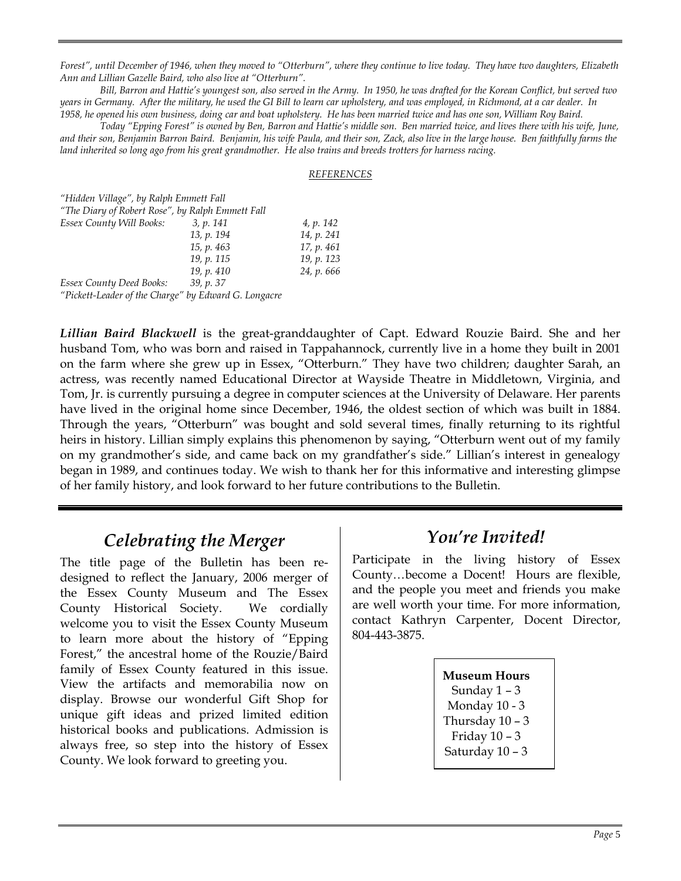*Forest", until December of 1946, when they moved to "Otterburn", where they continue to live today. They have two daughters, Elizabeth Ann and Lillian Gazelle Baird, who also live at "Otterburn".* 

 *Bill, Barron and Hattie's youngest son, also served in the Army. In 1950, he was drafted for the Korean Conflict, but served two years in Germany. After the military, he used the GI Bill to learn car upholstery, and was employed, in Richmond, at a car dealer. In 1958, he opened his own business, doing car and boat upholstery. He has been married twice and has one son, William Roy Baird.*

 *Today "Epping Forest" is owned by Ben, Barron and Hattie's middle son. Ben married twice, and lives there with his wife, June, and their son, Benjamin Barron Baird. Benjamin, his wife Paula, and their son, Zack, also live in the large house. Ben faithfully farms the land inherited so long ago from his great grandmother. He also trains and breeds trotters for harness racing.* 

#### *REFERENCES*

| "Hidden Village", by Ralph Emmett Fall               |            |            |  |
|------------------------------------------------------|------------|------------|--|
| "The Diary of Robert Rose", by Ralph Emmett Fall     |            |            |  |
| Essex County Will Books:                             | 3, p. 141  | 4, p. 142  |  |
|                                                      | 13, p. 194 | 14, p. 241 |  |
|                                                      | 15, p. 463 | 17, p. 461 |  |
|                                                      | 19, p. 115 | 19, p. 123 |  |
|                                                      | 19, p. 410 | 24, p. 666 |  |
| <b>Essex County Deed Books:</b>                      | 39, p. 37  |            |  |
| "Pickett-Leader of the Charge" by Edward G. Longacre |            |            |  |

*Lillian Baird Blackwell* is the great-granddaughter of Capt. Edward Rouzie Baird. She and her husband Tom, who was born and raised in Tappahannock, currently live in a home they built in 2001 on the farm where she grew up in Essex, "Otterburn." They have two children; daughter Sarah, an actress, was recently named Educational Director at Wayside Theatre in Middletown, Virginia, and Tom, Jr. is currently pursuing a degree in computer sciences at the University of Delaware. Her parents have lived in the original home since December, 1946, the oldest section of which was built in 1884. Through the years, "Otterburn" was bought and sold several times, finally returning to its rightful heirs in history. Lillian simply explains this phenomenon by saying, "Otterburn went out of my family on my grandmother's side, and came back on my grandfather's side." Lillian's interest in genealogy began in 1989, and continues today. We wish to thank her for this informative and interesting glimpse of her family history, and look forward to her future contributions to the Bulletin.

## *Celebrating the Merger*

The title page of the Bulletin has been redesigned to reflect the January, 2006 merger of the Essex County Museum and The Essex County Historical Society. We cordially welcome you to visit the Essex County Museum to learn more about the history of "Epping Forest," the ancestral home of the Rouzie/Baird family of Essex County featured in this issue. View the artifacts and memorabilia now on display. Browse our wonderful Gift Shop for unique gift ideas and prized limited edition historical books and publications. Admission is always free, so step into the history of Essex County. We look forward to greeting you.

## *You're Invited!*

Participate in the living history of Essex County…become a Docent! Hours are flexible, and the people you meet and friends you make are well worth your time. For more information, contact Kathryn Carpenter, Docent Director, 804-443-3875.

> **Museum Hours**  Sunday 1 – 3 Monday 10 - 3 Thursday  $10 - 3$ Friday 10 – 3 Saturday 10 – 3